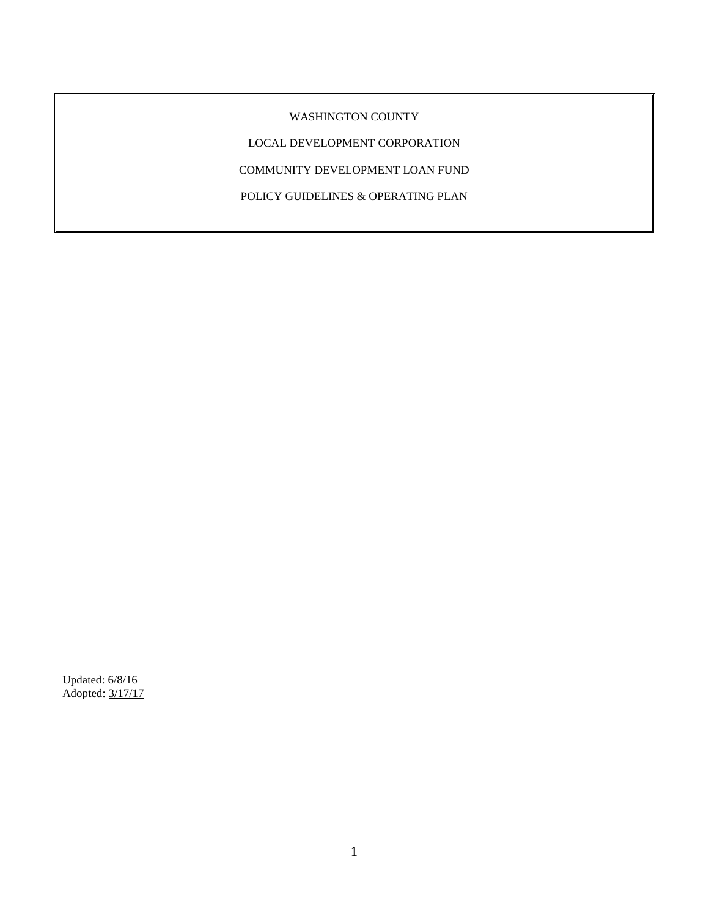WASHINGTON COUNTY

LOCAL DEVELOPMENT CORPORATION

COMMUNITY DEVELOPMENT LOAN FUND

POLICY GUIDELINES & OPERATING PLAN

Updated: 6/8/16 Adopted: 3/17/17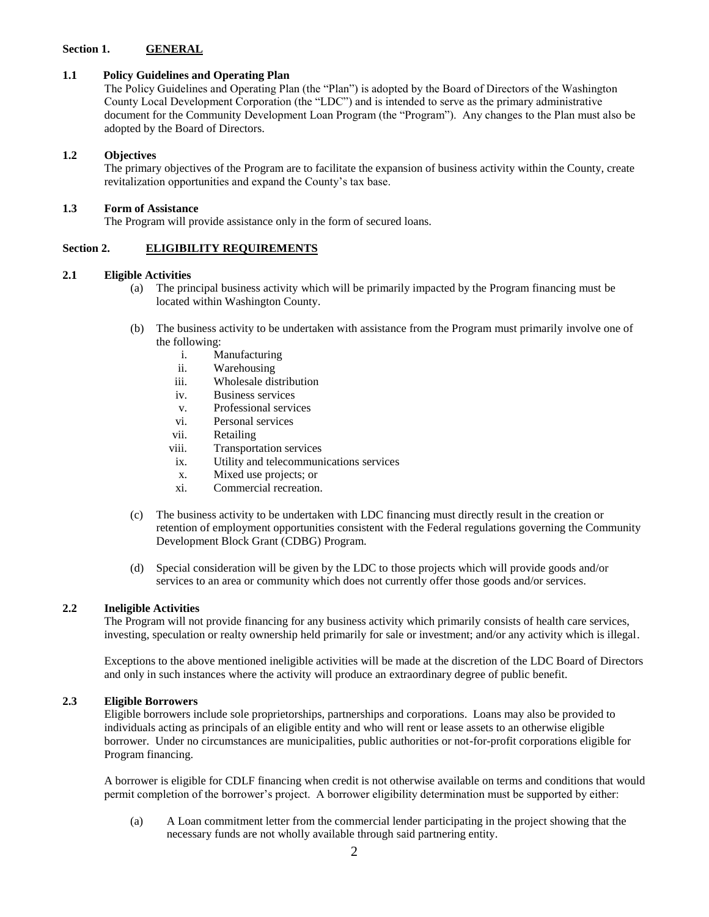### **Section 1. GENERAL**

### **1.1 Policy Guidelines and Operating Plan**

The Policy Guidelines and Operating Plan (the "Plan") is adopted by the Board of Directors of the Washington County Local Development Corporation (the "LDC") and is intended to serve as the primary administrative document for the Community Development Loan Program (the "Program"). Any changes to the Plan must also be adopted by the Board of Directors.

### **1.2 Objectives**

The primary objectives of the Program are to facilitate the expansion of business activity within the County, create revitalization opportunities and expand the County's tax base.

### **1.3 Form of Assistance**

The Program will provide assistance only in the form of secured loans.

## **Section 2. ELIGIBILITY REQUIREMENTS**

### **2.1 Eligible Activities**

- (a) The principal business activity which will be primarily impacted by the Program financing must be located within Washington County.
- (b) The business activity to be undertaken with assistance from the Program must primarily involve one of the following:
	- i. Manufacturing
	- ii. Warehousing
	- iii. Wholesale distribution
	- iv. Business services
	- v. Professional services
	- vi. Personal services
	- vii. Retailing
	- viii. Transportation services
	- ix. Utility and telecommunications services
	- x. Mixed use projects; or
	- xi. Commercial recreation.
- (c) The business activity to be undertaken with LDC financing must directly result in the creation or retention of employment opportunities consistent with the Federal regulations governing the Community Development Block Grant (CDBG) Program.
- (d) Special consideration will be given by the LDC to those projects which will provide goods and/or services to an area or community which does not currently offer those goods and/or services.

## **2.2 Ineligible Activities**

The Program will not provide financing for any business activity which primarily consists of health care services, investing, speculation or realty ownership held primarily for sale or investment; and/or any activity which is illegal.

Exceptions to the above mentioned ineligible activities will be made at the discretion of the LDC Board of Directors and only in such instances where the activity will produce an extraordinary degree of public benefit.

#### **2.3 Eligible Borrowers**

Eligible borrowers include sole proprietorships, partnerships and corporations. Loans may also be provided to individuals acting as principals of an eligible entity and who will rent or lease assets to an otherwise eligible borrower. Under no circumstances are municipalities, public authorities or not-for-profit corporations eligible for Program financing.

A borrower is eligible for CDLF financing when credit is not otherwise available on terms and conditions that would permit completion of the borrower's project. A borrower eligibility determination must be supported by either:

(a) A Loan commitment letter from the commercial lender participating in the project showing that the necessary funds are not wholly available through said partnering entity.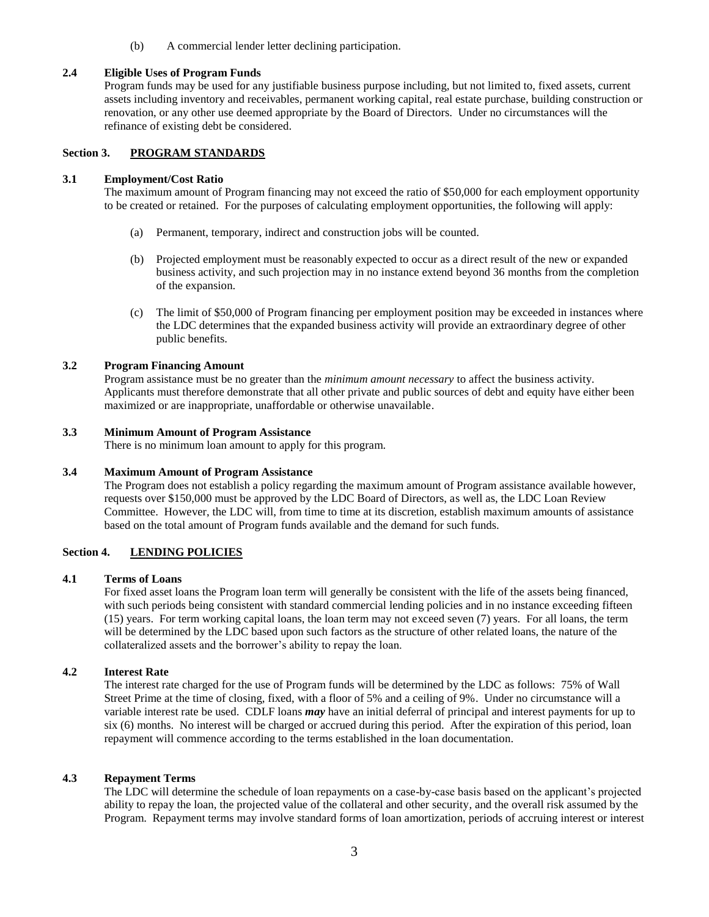(b) A commercial lender letter declining participation.

### **2.4 Eligible Uses of Program Funds**

Program funds may be used for any justifiable business purpose including, but not limited to, fixed assets, current assets including inventory and receivables, permanent working capital, real estate purchase, building construction or renovation, or any other use deemed appropriate by the Board of Directors. Under no circumstances will the refinance of existing debt be considered.

# **Section 3. PROGRAM STANDARDS**

#### **3.1 Employment/Cost Ratio**

The maximum amount of Program financing may not exceed the ratio of \$50,000 for each employment opportunity to be created or retained. For the purposes of calculating employment opportunities, the following will apply:

- (a) Permanent, temporary, indirect and construction jobs will be counted.
- (b) Projected employment must be reasonably expected to occur as a direct result of the new or expanded business activity, and such projection may in no instance extend beyond 36 months from the completion of the expansion.
- (c) The limit of \$50,000 of Program financing per employment position may be exceeded in instances where the LDC determines that the expanded business activity will provide an extraordinary degree of other public benefits.

### **3.2 Program Financing Amount**

Program assistance must be no greater than the *minimum amount necessary* to affect the business activity. Applicants must therefore demonstrate that all other private and public sources of debt and equity have either been maximized or are inappropriate, unaffordable or otherwise unavailable.

### **3.3 Minimum Amount of Program Assistance**

There is no minimum loan amount to apply for this program.

#### **3.4 Maximum Amount of Program Assistance**

The Program does not establish a policy regarding the maximum amount of Program assistance available however, requests over \$150,000 must be approved by the LDC Board of Directors, as well as, the LDC Loan Review Committee. However, the LDC will, from time to time at its discretion, establish maximum amounts of assistance based on the total amount of Program funds available and the demand for such funds.

## **Section 4. LENDING POLICIES**

#### **4.1 Terms of Loans**

For fixed asset loans the Program loan term will generally be consistent with the life of the assets being financed, with such periods being consistent with standard commercial lending policies and in no instance exceeding fifteen (15) years. For term working capital loans, the loan term may not exceed seven (7) years. For all loans, the term will be determined by the LDC based upon such factors as the structure of other related loans, the nature of the collateralized assets and the borrower's ability to repay the loan.

## **4.2 Interest Rate**

The interest rate charged for the use of Program funds will be determined by the LDC as follows: 75% of Wall Street Prime at the time of closing, fixed, with a floor of 5% and a ceiling of 9%. Under no circumstance will a variable interest rate be used. CDLF loans *may* have an initial deferral of principal and interest payments for up to six (6) months. No interest will be charged or accrued during this period. After the expiration of this period, loan repayment will commence according to the terms established in the loan documentation.

## **4.3 Repayment Terms**

The LDC will determine the schedule of loan repayments on a case-by-case basis based on the applicant's projected ability to repay the loan, the projected value of the collateral and other security, and the overall risk assumed by the Program. Repayment terms may involve standard forms of loan amortization, periods of accruing interest or interest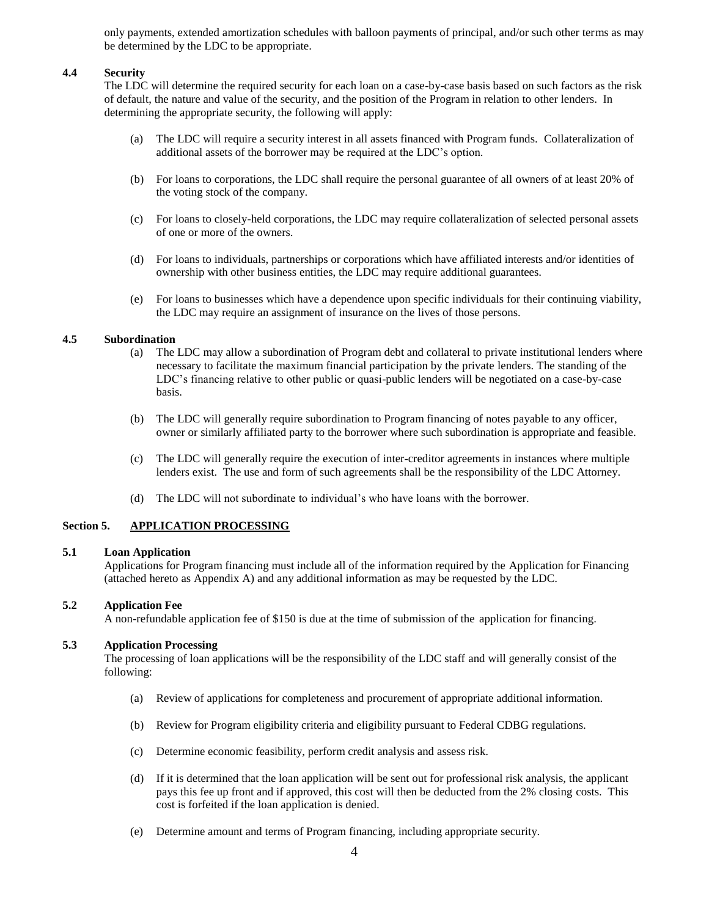only payments, extended amortization schedules with balloon payments of principal, and/or such other terms as may be determined by the LDC to be appropriate.

#### **4.4 Security**

The LDC will determine the required security for each loan on a case-by-case basis based on such factors as the risk of default, the nature and value of the security, and the position of the Program in relation to other lenders. In determining the appropriate security, the following will apply:

- (a) The LDC will require a security interest in all assets financed with Program funds. Collateralization of additional assets of the borrower may be required at the LDC's option.
- (b) For loans to corporations, the LDC shall require the personal guarantee of all owners of at least 20% of the voting stock of the company.
- (c) For loans to closely-held corporations, the LDC may require collateralization of selected personal assets of one or more of the owners.
- (d) For loans to individuals, partnerships or corporations which have affiliated interests and/or identities of ownership with other business entities, the LDC may require additional guarantees.
- (e) For loans to businesses which have a dependence upon specific individuals for their continuing viability, the LDC may require an assignment of insurance on the lives of those persons.

#### **4.5 Subordination**

- (a) The LDC may allow a subordination of Program debt and collateral to private institutional lenders where necessary to facilitate the maximum financial participation by the private lenders. The standing of the LDC's financing relative to other public or quasi-public lenders will be negotiated on a case-by-case basis.
- (b) The LDC will generally require subordination to Program financing of notes payable to any officer, owner or similarly affiliated party to the borrower where such subordination is appropriate and feasible.
- (c) The LDC will generally require the execution of inter-creditor agreements in instances where multiple lenders exist. The use and form of such agreements shall be the responsibility of the LDC Attorney.
- (d) The LDC will not subordinate to individual's who have loans with the borrower.

## **Section 5. APPLICATION PROCESSING**

#### **5.1 Loan Application**

Applications for Program financing must include all of the information required by the Application for Financing (attached hereto as Appendix A) and any additional information as may be requested by the LDC.

### **5.2 Application Fee**

A non-refundable application fee of \$150 is due at the time of submission of the application for financing.

## **5.3 Application Processing**

The processing of loan applications will be the responsibility of the LDC staff and will generally consist of the following:

- (a) Review of applications for completeness and procurement of appropriate additional information.
- (b) Review for Program eligibility criteria and eligibility pursuant to Federal CDBG regulations.
- (c) Determine economic feasibility, perform credit analysis and assess risk.
- (d) If it is determined that the loan application will be sent out for professional risk analysis, the applicant pays this fee up front and if approved, this cost will then be deducted from the 2% closing costs. This cost is forfeited if the loan application is denied.
- (e) Determine amount and terms of Program financing, including appropriate security.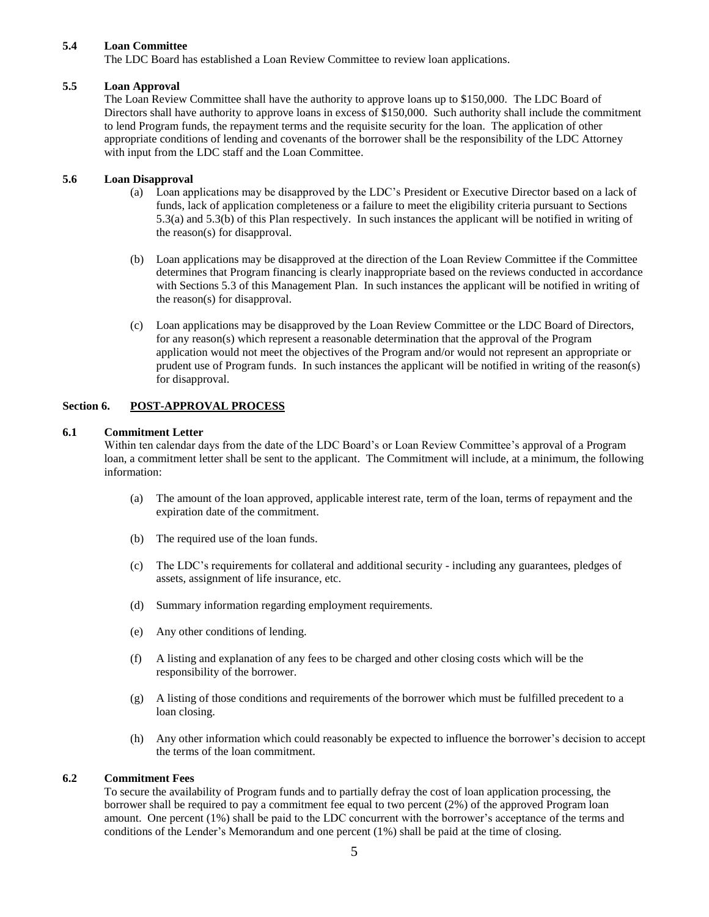### **5.4 Loan Committee**

The LDC Board has established a Loan Review Committee to review loan applications.

### **5.5 Loan Approval**

The Loan Review Committee shall have the authority to approve loans up to \$150,000. The LDC Board of Directors shall have authority to approve loans in excess of \$150,000. Such authority shall include the commitment to lend Program funds, the repayment terms and the requisite security for the loan. The application of other appropriate conditions of lending and covenants of the borrower shall be the responsibility of the LDC Attorney with input from the LDC staff and the Loan Committee.

### **5.6 Loan Disapproval**

- (a) Loan applications may be disapproved by the LDC's President or Executive Director based on a lack of funds, lack of application completeness or a failure to meet the eligibility criteria pursuant to Sections 5.3(a) and 5.3(b) of this Plan respectively. In such instances the applicant will be notified in writing of the reason(s) for disapproval.
- (b) Loan applications may be disapproved at the direction of the Loan Review Committee if the Committee determines that Program financing is clearly inappropriate based on the reviews conducted in accordance with Sections 5.3 of this Management Plan. In such instances the applicant will be notified in writing of the reason(s) for disapproval.
- (c) Loan applications may be disapproved by the Loan Review Committee or the LDC Board of Directors, for any reason(s) which represent a reasonable determination that the approval of the Program application would not meet the objectives of the Program and/or would not represent an appropriate or prudent use of Program funds. In such instances the applicant will be notified in writing of the reason(s) for disapproval.

### **Section 6. POST-APPROVAL PROCESS**

#### **6.1 Commitment Letter**

Within ten calendar days from the date of the LDC Board's or Loan Review Committee's approval of a Program loan, a commitment letter shall be sent to the applicant. The Commitment will include, at a minimum, the following information:

- (a) The amount of the loan approved, applicable interest rate, term of the loan, terms of repayment and the expiration date of the commitment.
- (b) The required use of the loan funds.
- (c) The LDC's requirements for collateral and additional security including any guarantees, pledges of assets, assignment of life insurance, etc.
- (d) Summary information regarding employment requirements.
- (e) Any other conditions of lending.
- (f) A listing and explanation of any fees to be charged and other closing costs which will be the responsibility of the borrower.
- (g) A listing of those conditions and requirements of the borrower which must be fulfilled precedent to a loan closing.
- (h) Any other information which could reasonably be expected to influence the borrower's decision to accept the terms of the loan commitment.

#### **6.2 Commitment Fees**

To secure the availability of Program funds and to partially defray the cost of loan application processing, the borrower shall be required to pay a commitment fee equal to two percent (2%) of the approved Program loan amount. One percent (1%) shall be paid to the LDC concurrent with the borrower's acceptance of the terms and conditions of the Lender's Memorandum and one percent (1%) shall be paid at the time of closing.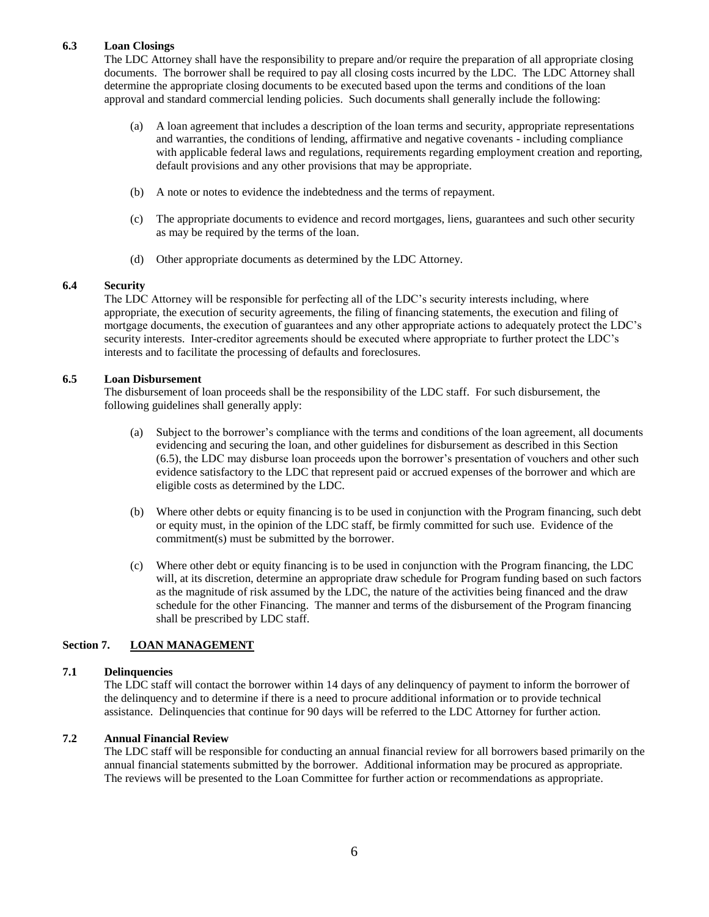## **6.3 Loan Closings**

The LDC Attorney shall have the responsibility to prepare and/or require the preparation of all appropriate closing documents. The borrower shall be required to pay all closing costs incurred by the LDC. The LDC Attorney shall determine the appropriate closing documents to be executed based upon the terms and conditions of the loan approval and standard commercial lending policies. Such documents shall generally include the following:

- (a) A loan agreement that includes a description of the loan terms and security, appropriate representations and warranties, the conditions of lending, affirmative and negative covenants - including compliance with applicable federal laws and regulations, requirements regarding employment creation and reporting, default provisions and any other provisions that may be appropriate.
- (b) A note or notes to evidence the indebtedness and the terms of repayment.
- (c) The appropriate documents to evidence and record mortgages, liens, guarantees and such other security as may be required by the terms of the loan.
- (d) Other appropriate documents as determined by the LDC Attorney.

### **6.4 Security**

The LDC Attorney will be responsible for perfecting all of the LDC's security interests including, where appropriate, the execution of security agreements, the filing of financing statements, the execution and filing of mortgage documents, the execution of guarantees and any other appropriate actions to adequately protect the LDC's security interests. Inter-creditor agreements should be executed where appropriate to further protect the LDC's interests and to facilitate the processing of defaults and foreclosures.

### **6.5 Loan Disbursement**

The disbursement of loan proceeds shall be the responsibility of the LDC staff. For such disbursement, the following guidelines shall generally apply:

- (a) Subject to the borrower's compliance with the terms and conditions of the loan agreement, all documents evidencing and securing the loan, and other guidelines for disbursement as described in this Section (6.5), the LDC may disburse loan proceeds upon the borrower's presentation of vouchers and other such evidence satisfactory to the LDC that represent paid or accrued expenses of the borrower and which are eligible costs as determined by the LDC.
- (b) Where other debts or equity financing is to be used in conjunction with the Program financing, such debt or equity must, in the opinion of the LDC staff, be firmly committed for such use. Evidence of the commitment(s) must be submitted by the borrower.
- (c) Where other debt or equity financing is to be used in conjunction with the Program financing, the LDC will, at its discretion, determine an appropriate draw schedule for Program funding based on such factors as the magnitude of risk assumed by the LDC, the nature of the activities being financed and the draw schedule for the other Financing. The manner and terms of the disbursement of the Program financing shall be prescribed by LDC staff.

# **Section 7. LOAN MANAGEMENT**

#### **7.1 Delinquencies**

The LDC staff will contact the borrower within 14 days of any delinquency of payment to inform the borrower of the delinquency and to determine if there is a need to procure additional information or to provide technical assistance. Delinquencies that continue for 90 days will be referred to the LDC Attorney for further action.

## **7.2 Annual Financial Review**

The LDC staff will be responsible for conducting an annual financial review for all borrowers based primarily on the annual financial statements submitted by the borrower. Additional information may be procured as appropriate. The reviews will be presented to the Loan Committee for further action or recommendations as appropriate.